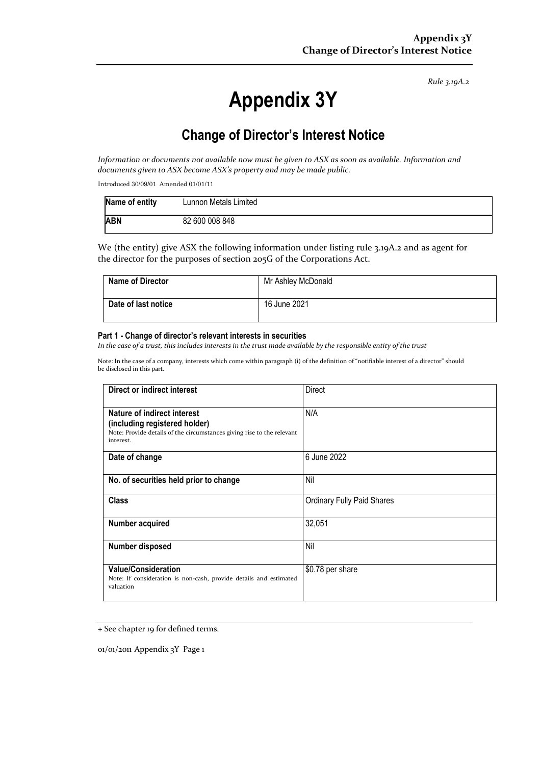#### *Rule 3.19A.2*

# **Appendix 3Y**

# **Change of Director's Interest Notice**

*Information or documents not available now must be given to ASX as soon as available. Information and documents given to ASX become ASX's property and may be made public.*

Introduced 30/09/01 Amended 01/01/11

| Name of entity | Lunnon Metals Limited |
|----------------|-----------------------|
| <b>ABN</b>     | 82 600 008 848        |

We (the entity) give ASX the following information under listing rule 3.19A.2 and as agent for the director for the purposes of section 205G of the Corporations Act.

| <b>Name of Director</b> | Mr Ashley McDonald |
|-------------------------|--------------------|
| Date of last notice     | 16 June 2021       |

#### **Part 1 - Change of director's relevant interests in securities**

In the case of a trust, this includes interests in the trust made available by the responsible entity of the trust

Note: In the case of a company, interests which come within paragraph (i) of the definition of "notifiable interest of a director" should be disclosed in this part.

| Direct or indirect interest                                                                                                                         | Direct                            |
|-----------------------------------------------------------------------------------------------------------------------------------------------------|-----------------------------------|
| Nature of indirect interest<br>(including registered holder)<br>Note: Provide details of the circumstances giving rise to the relevant<br>interest. | N/A                               |
| Date of change                                                                                                                                      | 6 June 2022                       |
| No. of securities held prior to change                                                                                                              | Nil                               |
| <b>Class</b>                                                                                                                                        | <b>Ordinary Fully Paid Shares</b> |
| Number acquired                                                                                                                                     | 32,051                            |
| Number disposed                                                                                                                                     | Nil                               |
| <b>Value/Consideration</b><br>Note: If consideration is non-cash, provide details and estimated<br>valuation                                        | \$0.78 per share                  |

<sup>+</sup> See chapter 19 for defined terms.

01/01/2011 Appendix 3Y Page 1